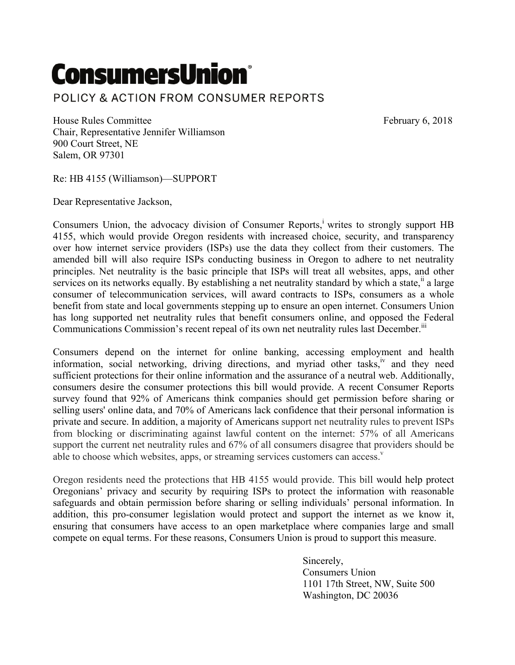## **ConsumersUnion®** POLICY & ACTION FROM CONSUMER REPORTS

House Rules Committee February 6, 2018 Chair, Representative Jennifer Williamson 900 Court Street, NE Salem, OR 97301

Re: HB 4155 (Williamson)—SUPPORT

Dear Representative Jackson,

Consumers Union, the advocacy division of Consumer Reports,<sup>i</sup> writes to strongly support HB 4155, which would provide Oregon residents with increased choice, security, and transparency over how internet service providers (ISPs) use the data they collect from their customers. The amended bill will also require ISPs conducting business in Oregon to adhere to net neutrality principles. Net neutrality is the basic principle that ISPs will treat all websites, apps, and other services on its networks equally. By establishing a net neutrality standard by which a state,<sup>"</sup> a large consumer of telecommunication services, will award contracts to ISPs, consumers as a whole benefit from state and local governments stepping up to ensure an open internet. Consumers Union has long supported net neutrality rules that benefit consumers online, and opposed the Federal Communications Commission's recent repeal of its own net neutrality rules last December.<sup>III</sup>

Consumers depend on the internet for online banking, accessing employment and health information, social networking, driving directions, and myriad other tasks, $\frac{iv}{ }$  and they need sufficient protections for their online information and the assurance of a neutral web. Additionally, consumers desire the consumer protections this bill would provide. A recent Consumer Reports survey found that 92% of Americans think companies should get permission before sharing or selling users' online data, and 70% of Americans lack confidence that their personal information is private and secure. In addition, a majority of Americans support net neutrality rules to prevent ISPs from blocking or discriminating against lawful content on the internet: 57% of all Americans support the current net neutrality rules and 67% of all consumers disagree that providers should be able to choose which websites, apps, or streaming services customers can access. $v$ 

Oregon residents need the protections that HB 4155 would provide. This bill would help protect Oregonians' privacy and security by requiring ISPs to protect the information with reasonable safeguards and obtain permission before sharing or selling individuals' personal information. In addition, this pro-consumer legislation would protect and support the internet as we know it, ensuring that consumers have access to an open marketplace where companies large and small compete on equal terms. For these reasons, Consumers Union is proud to support this measure.

> Sincerely, Consumers Union 1101 17th Street, NW, Suite 500 Washington, DC 20036